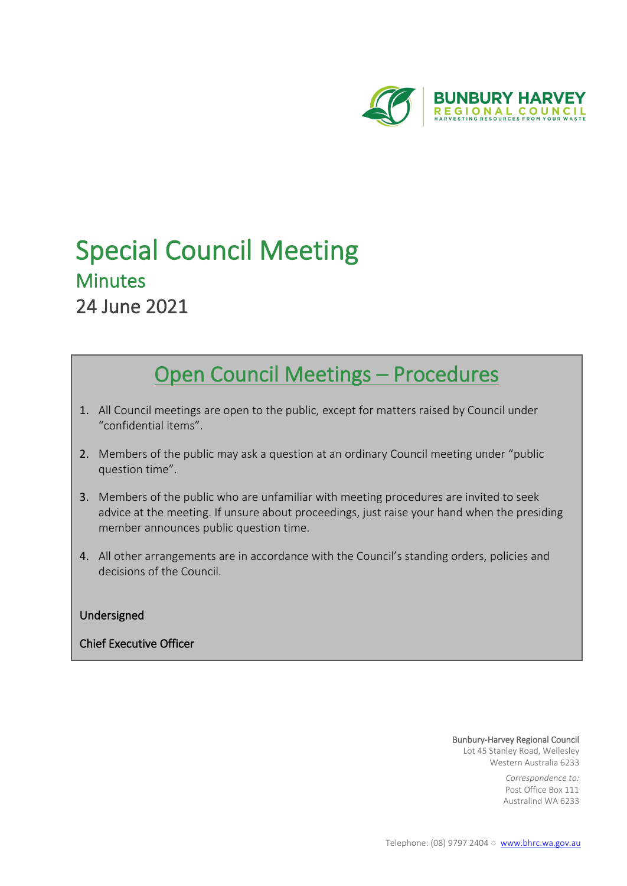

# Special Council Meeting Minutes 24 June 2021

## Open Council Meetings – Procedures

- 1. All Council meetings are open to the public, except for matters raised by Council under "confidential items".
- 2. Members of the public may ask a question at an ordinary Council meeting under "public question time".
- 3. Members of the public who are unfamiliar with meeting procedures are invited to seek advice at the meeting. If unsure about proceedings, just raise your hand when the presiding member announces public question time.
- 4. All other arrangements are in accordance with the Council's standing orders, policies and decisions of the Council.

### Undersigned

### Chief Executive Officer

#### Bunbury-Harvey Regional Council

Lot 45 Stanley Road, Wellesley Western Australia 6233

> *Correspondence to:* Post Office Box 111 Australind WA 6233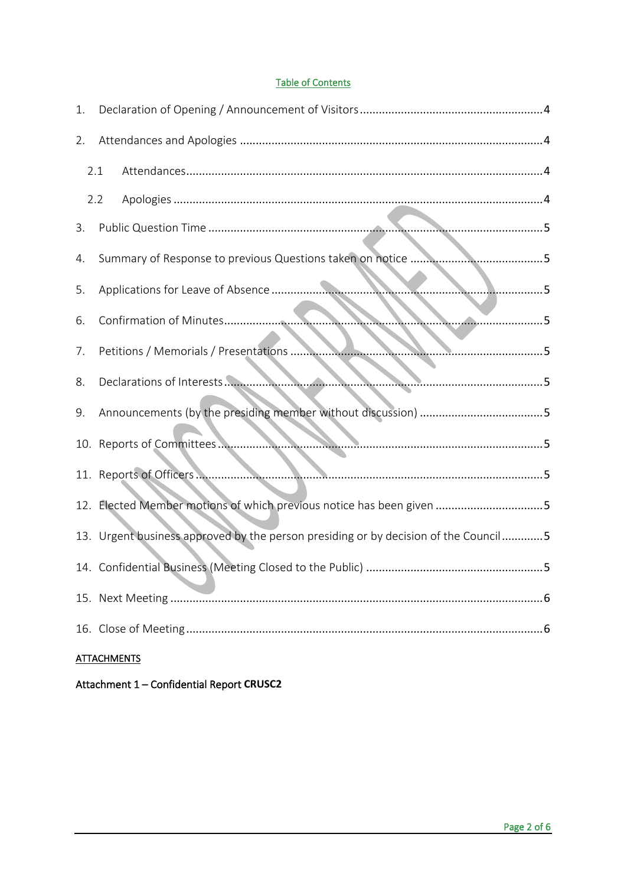### **Table of Contents**

| 1.                 |                                                                                     |  |  |  |  |  |
|--------------------|-------------------------------------------------------------------------------------|--|--|--|--|--|
| 2.                 |                                                                                     |  |  |  |  |  |
| 2.1                |                                                                                     |  |  |  |  |  |
| 2.2                |                                                                                     |  |  |  |  |  |
| 3.                 |                                                                                     |  |  |  |  |  |
| 4.                 |                                                                                     |  |  |  |  |  |
| 5.                 | 5                                                                                   |  |  |  |  |  |
| 6.                 | 5<br><b>CONTRACTOR</b>                                                              |  |  |  |  |  |
| 7.                 |                                                                                     |  |  |  |  |  |
| 8.                 | Declarations of Interests.                                                          |  |  |  |  |  |
| 9.                 |                                                                                     |  |  |  |  |  |
|                    |                                                                                     |  |  |  |  |  |
|                    | 5                                                                                   |  |  |  |  |  |
|                    | 12. Elected Member motions of which previous notice has been given 5                |  |  |  |  |  |
|                    | 13. Urgent business approved by the person presiding or by decision of the Council5 |  |  |  |  |  |
|                    |                                                                                     |  |  |  |  |  |
|                    |                                                                                     |  |  |  |  |  |
|                    |                                                                                     |  |  |  |  |  |
| <b>ATTACHMENTS</b> |                                                                                     |  |  |  |  |  |

Attachment 1 - Confidential Report CRUSC2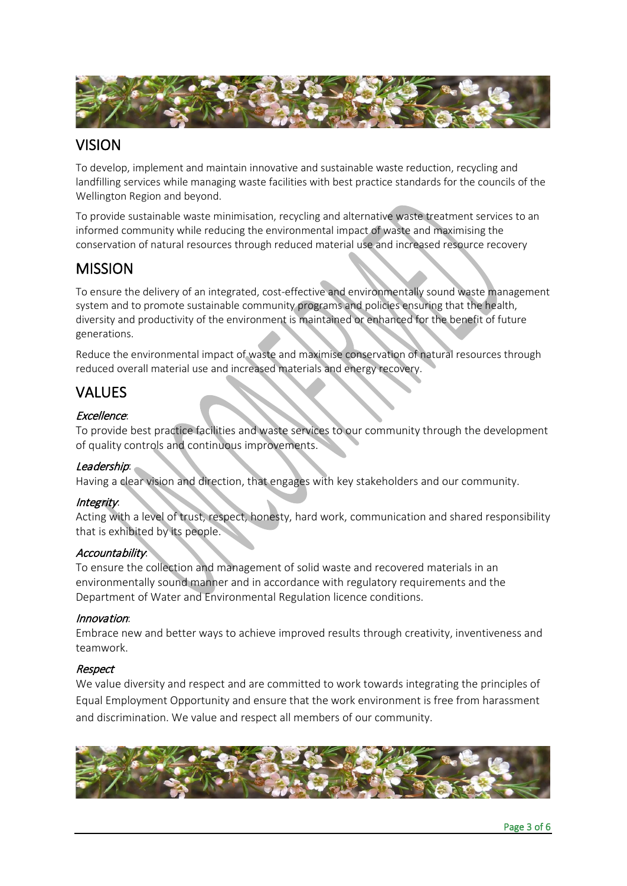

### VISION

To develop, implement and maintain innovative and sustainable waste reduction, recycling and landfilling services while managing waste facilities with best practice standards for the councils of the Wellington Region and beyond.

To provide sustainable waste minimisation, recycling and alternative waste treatment services to an informed community while reducing the environmental impact of waste and maximising the conservation of natural resources through reduced material use and increased resource recovery

### MISSION

To ensure the delivery of an integrated, cost-effective and environmentally sound waste management system and to promote sustainable community programs and policies ensuring that the health, diversity and productivity of the environment is maintained or enhanced for the benefit of future generations.

Reduce the environmental impact of waste and maximise conservation of natural resources through reduced overall material use and increased materials and energy recovery.

### VALUES

### Excellence:

To provide best practice facilities and waste services to our community through the development of quality controls and continuous improvements.

### Leadership:

Having a clear vision and direction, that engages with key stakeholders and our community.

### Integrity:

Acting with a level of trust, respect, honesty, hard work, communication and shared responsibility that is exhibited by its people.

### Accountability:

To ensure the collection and management of solid waste and recovered materials in an environmentally sound manner and in accordance with regulatory requirements and the Department of Water and Environmental Regulation licence conditions.

### Innovation:

Embrace new and better ways to achieve improved results through creativity, inventiveness and teamwork.

### Respect

We value diversity and respect and are committed to work towards integrating the principles of Equal Employment Opportunity and ensure that the work environment is free from harassment and discrimination. We value and respect all members of our community.

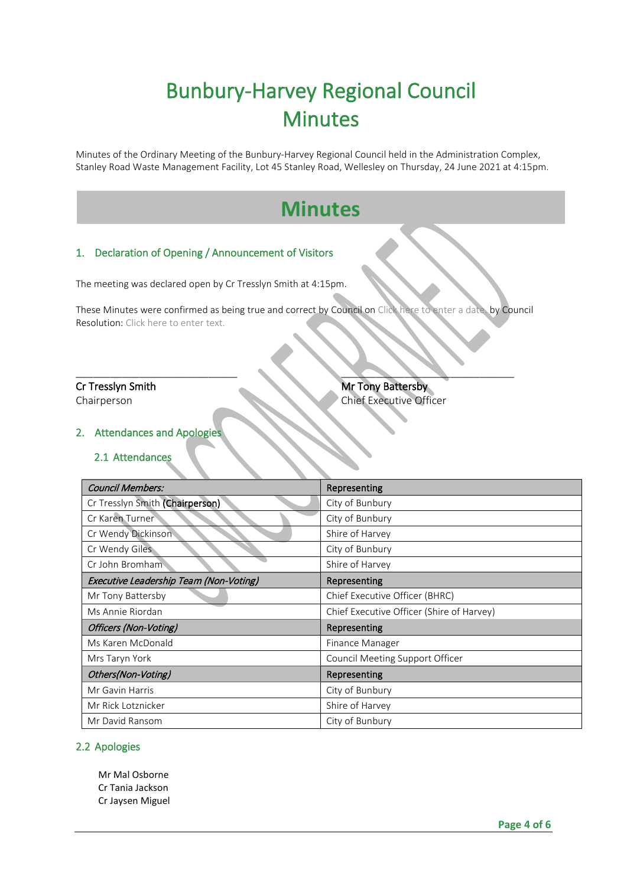## Bunbury-Harvey Regional Council Minutes

Minutes of the Ordinary Meeting of the Bunbury-Harvey Regional Council held in the Administration Complex, Stanley Road Waste Management Facility, Lot 45 Stanley Road, Wellesley on Thursday, 24 June 2021 at 4:15pm.

## **Minutes**

### <span id="page-3-0"></span>1. Declaration of Opening / Announcement of Visitors

The meeting was declared open by Cr Tresslyn Smith at 4:15pm.

These Minutes were confirmed as being true and correct by Council on Click here to enter a date. by Council Resolution: Click here to enter text.

 $\blacksquare$ 

l,

### **Cr Tresslyn Smith Mr Tony Battersby** Chairperson Chairperson Chairperson Chairperson

### <span id="page-3-2"></span><span id="page-3-1"></span>2. Attendances and Apologies

### 2.1 Attendances

| <b>Council Members:</b>                | Representing                              |  |  |
|----------------------------------------|-------------------------------------------|--|--|
| Cr Tresslyn Smith (Chairperson)        | City of Bunbury                           |  |  |
| Cr Karen Turner                        | City of Bunbury                           |  |  |
| Cr Wendy Dickinson                     | Shire of Harvey                           |  |  |
| Cr Wendy Giles                         | City of Bunbury                           |  |  |
| Cr John Bromham                        | Shire of Harvey                           |  |  |
| Executive Leadership Team (Non-Voting) | Representing                              |  |  |
| Mr Tony Battersby                      | Chief Executive Officer (BHRC)            |  |  |
| Ms Annie Riordan                       | Chief Executive Officer (Shire of Harvey) |  |  |
| Officers (Non-Voting)                  | Representing                              |  |  |
| Ms Karen McDonald                      | Finance Manager                           |  |  |
| Mrs Taryn York                         | Council Meeting Support Officer           |  |  |
| Others(Non-Voting)                     | Representing                              |  |  |
| Mr Gavin Harris                        | City of Bunbury                           |  |  |
| Mr Rick Lotznicker                     | Shire of Harvey                           |  |  |
| Mr David Ransom                        | City of Bunbury                           |  |  |

### <span id="page-3-3"></span>2.2 Apologies

Mr Mal Osborne Cr Tania Jackson Cr Jaysen Miguel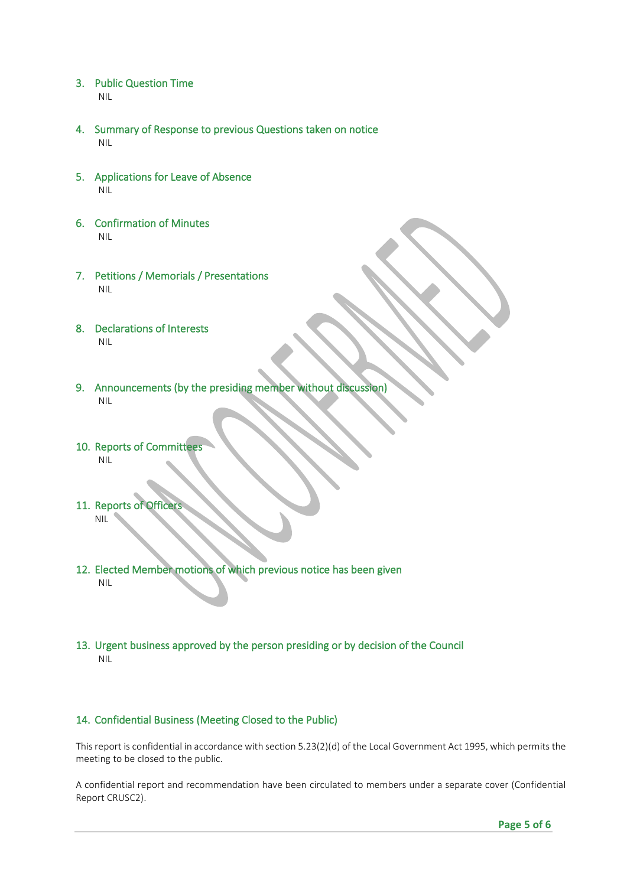- <span id="page-4-0"></span>3. Public Question Time NIL
- <span id="page-4-1"></span>4. Summary of Response to previous Questions taken on notice NIL
- <span id="page-4-2"></span>5. Applications for Leave of Absence NIL
- <span id="page-4-3"></span>6. Confirmation of Minutes NIL
- <span id="page-4-4"></span>7. Petitions / Memorials / Presentations NIL
- <span id="page-4-5"></span>8. Declarations of Interests NIL
- <span id="page-4-6"></span>9. Announcements (by the presiding member without discussion) NIL
- <span id="page-4-7"></span>10. Reports of Committees NIL
- <span id="page-4-8"></span>11. Reports of Officer NIL
- <span id="page-4-9"></span>12. Elected Member motions of which previous notice has been given NIL
- <span id="page-4-10"></span>13. Urgent business approved by the person presiding or by decision of the Council NIL

### <span id="page-4-11"></span>14. Confidential Business (Meeting Closed to the Public)

This report is confidential in accordance with section 5.23(2)(d) of the Local Government Act 1995, which permits the meeting to be closed to the public.

A confidential report and recommendation have been circulated to members under a separate cover (Confidential Report CRUSC2).